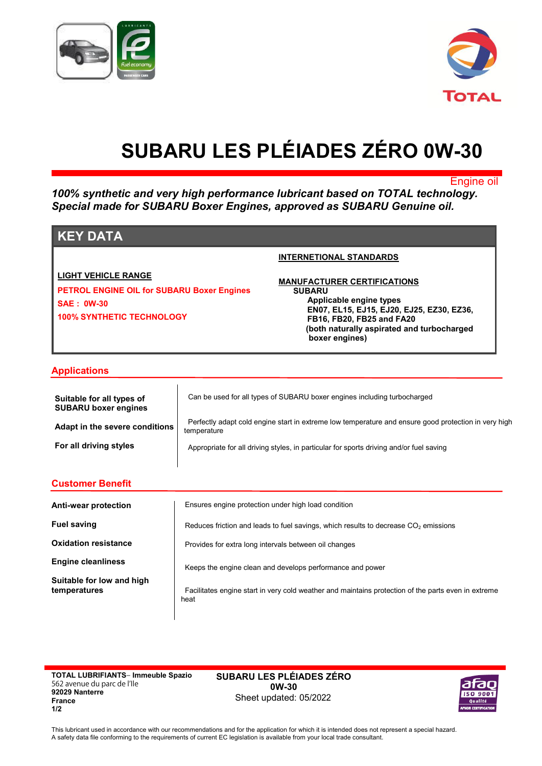



# **SUBARU LES PLÉIADES ZÉRO 0W-30**

Engine oil

*100% synthetic and very high performance lubricant based on TOTAL technology. Special made for SUBARU Boxer Engines, approved as SUBARU Genuine oil.*

# **KEY DATA**

## **LIGHT VEHICLE RANGE**

**PETROL ENGINE OIL for SUBARU Boxer Engines SAE : 0W-30 100% SYNTHETIC TECHNOLOGY**

#### **INTERNETIONAL STANDARDS**

**MANUFACTURER CERTIFICATIONS SUBARU Applicable engine types EN07, EL15, EJ15, EJ20, EJ25, EZ30, EZ36, FB16, FB20, FB25 and FA20 (both naturally aspirated and turbocharged boxer engines)**

## **Applications**

| Suitable for all types of<br><b>SUBARU boxer engines</b> | Can be used for all types of SUBARU boxer engines including turbocharged                                            |
|----------------------------------------------------------|---------------------------------------------------------------------------------------------------------------------|
| Adapt in the severe conditions                           | Perfectly adapt cold engine start in extreme low temperature and ensure good protection in very high<br>temperature |
| For all driving styles                                   | Appropriate for all driving styles, in particular for sports driving and/or fuel saving                             |

| <b>Customer Benefit</b>                   |                                                                                                             |  |
|-------------------------------------------|-------------------------------------------------------------------------------------------------------------|--|
| Anti-wear protection                      | Ensures engine protection under high load condition                                                         |  |
| <b>Fuel saving</b>                        | Reduces friction and leads to fuel savings, which results to decrease $CO2$ emissions                       |  |
| <b>Oxidation resistance</b>               | Provides for extra long intervals between oil changes                                                       |  |
| <b>Engine cleanliness</b>                 | Keeps the engine clean and develops performance and power                                                   |  |
| Suitable for low and high<br>temperatures | Facilitates engine start in very cold weather and maintains protection of the parts even in extreme<br>heat |  |

**TOTAL LUBRIFIANTS‒ Immeuble Spazio 562 avenue du parc de l'Ile 92029 Nanterre France 1/2**

**SUBARU LES PLÉIADES ZÉRO 0W-30** Sheet updated: 05/2022



This lubricant used in accordance with our recommendations and for the application for which it is intended does not represent a special hazard. A safety data file conforming to the requirements of current EC legislation is available from your local trade consultant.